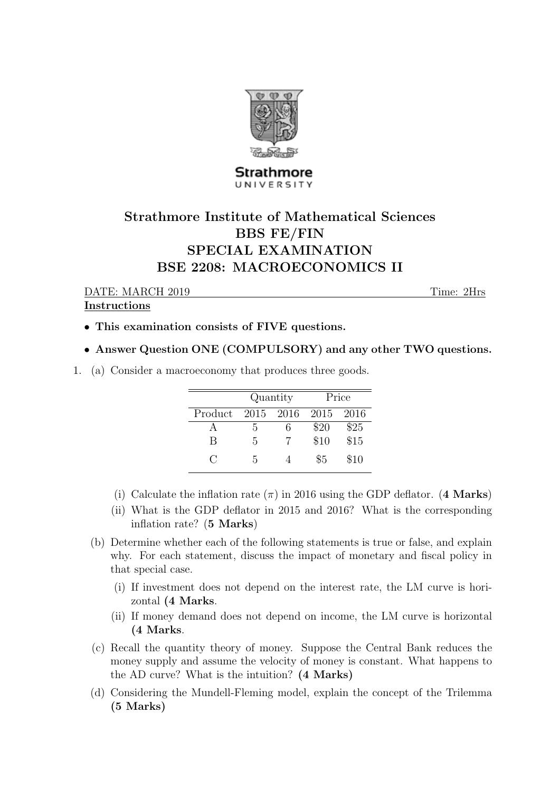

## Strathmore UNIVERSITY

## Strathmore Institute of Mathematical Sciences BBS FE/FIN SPECIAL EXAMINATION BSE 2208: MACROECONOMICS II

DATE: MARCH 2019 Time: 2Hrs

## Instructions

- This examination consists of FIVE questions.
- Answer Question ONE (COMPULSORY) and any other TWO questions.
- 1. (a) Consider a macroeconomy that produces three goods.

|         | Quantity |       | Price |      |
|---------|----------|-------|-------|------|
| Product | 2015     | -2016 | 2015  | 2016 |
|         | h.       | 6     | \$20  | \$25 |
| В       | 5        |       | \$10  | \$15 |
| $\cap$  | 5        |       | \$5   | \$10 |

- (i) Calculate the inflation rate  $(\pi)$  in 2016 using the GDP deflator. (4 Marks)
- (ii) What is the GDP deflator in 2015 and 2016? What is the corresponding inflation rate? (5 Marks)
- (b) Determine whether each of the following statements is true or false, and explain why. For each statement, discuss the impact of monetary and fiscal policy in that special case.
	- (i) If investment does not depend on the interest rate, the LM curve is horizontal (4 Marks.
	- (ii) If money demand does not depend on income, the LM curve is horizontal (4 Marks.
- (c) Recall the quantity theory of money. Suppose the Central Bank reduces the money supply and assume the velocity of money is constant. What happens to the AD curve? What is the intuition? (4 Marks)
- (d) Considering the Mundell-Fleming model, explain the concept of the Trilemma (5 Marks)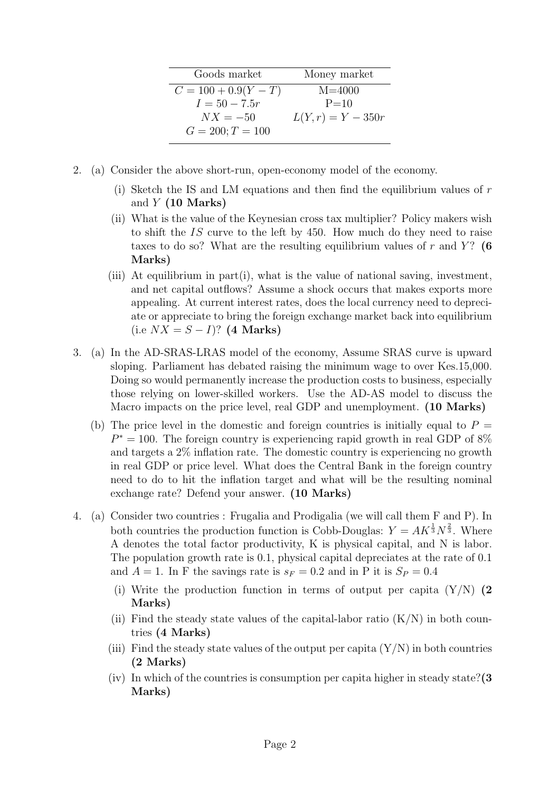| Goods market           | Money market        |  |  |
|------------------------|---------------------|--|--|
| $C = 100 + 0.9(Y - T)$ | $M = 4000$          |  |  |
| $I = 50 - 7.5r$        | $P = 10$            |  |  |
| $NX = -50$             | $L(Y,r) = Y - 350r$ |  |  |
| $G = 200; T = 100$     |                     |  |  |

- 2. (a) Consider the above short-run, open-economy model of the economy.
	- (i) Sketch the IS and LM equations and then find the equilibrium values of  $r$ and  $Y$  (10 Marks)
	- (ii) What is the value of the Keynesian cross tax multiplier? Policy makers wish to shift the IS curve to the left by 450. How much do they need to raise taxes to do so? What are the resulting equilibrium values of r and  $Y$ ? (6) Marks)
	- (iii) At equilibrium in part(i), what is the value of national saving, investment, and net capital outflows? Assume a shock occurs that makes exports more appealing. At current interest rates, does the local currency need to depreciate or appreciate to bring the foreign exchange market back into equilibrium  $(i.e N X = S - I)?$  (4 Marks)
- 3. (a) In the AD-SRAS-LRAS model of the economy, Assume SRAS curve is upward sloping. Parliament has debated raising the minimum wage to over Kes.15,000. Doing so would permanently increase the production costs to business, especially those relying on lower-skilled workers. Use the AD-AS model to discuss the Macro impacts on the price level, real GDP and unemployment. (10 Marks)
	- (b) The price level in the domestic and foreign countries is initially equal to  $P =$  $P^* = 100$ . The foreign country is experiencing rapid growth in real GDP of  $8\%$ and targets a 2% inflation rate. The domestic country is experiencing no growth in real GDP or price level. What does the Central Bank in the foreign country need to do to hit the inflation target and what will be the resulting nominal exchange rate? Defend your answer. (10 Marks)
- 4. (a) Consider two countries : Frugalia and Prodigalia (we will call them F and P). In both countries the production function is Cobb-Douglas:  $Y = AK^{\frac{1}{3}}N^{\frac{2}{3}}$ . Where A denotes the total factor productivity, K is physical capital, and N is labor. The population growth rate is 0.1, physical capital depreciates at the rate of 0.1 and  $A = 1$ . In F the savings rate is  $s_F = 0.2$  and in P it is  $S_P = 0.4$ 
	- (i) Write the production function in terms of output per capita  $(Y/N)$  (2) Marks)
	- (ii) Find the steady state values of the capital-labor ratio  $(K/N)$  in both countries (4 Marks)
	- (iii) Find the steady state values of the output per capita  $(Y/N)$  in both countries (2 Marks)
	- (iv) In which of the countries is consumption per capita higher in steady state?  $(3)$ Marks)